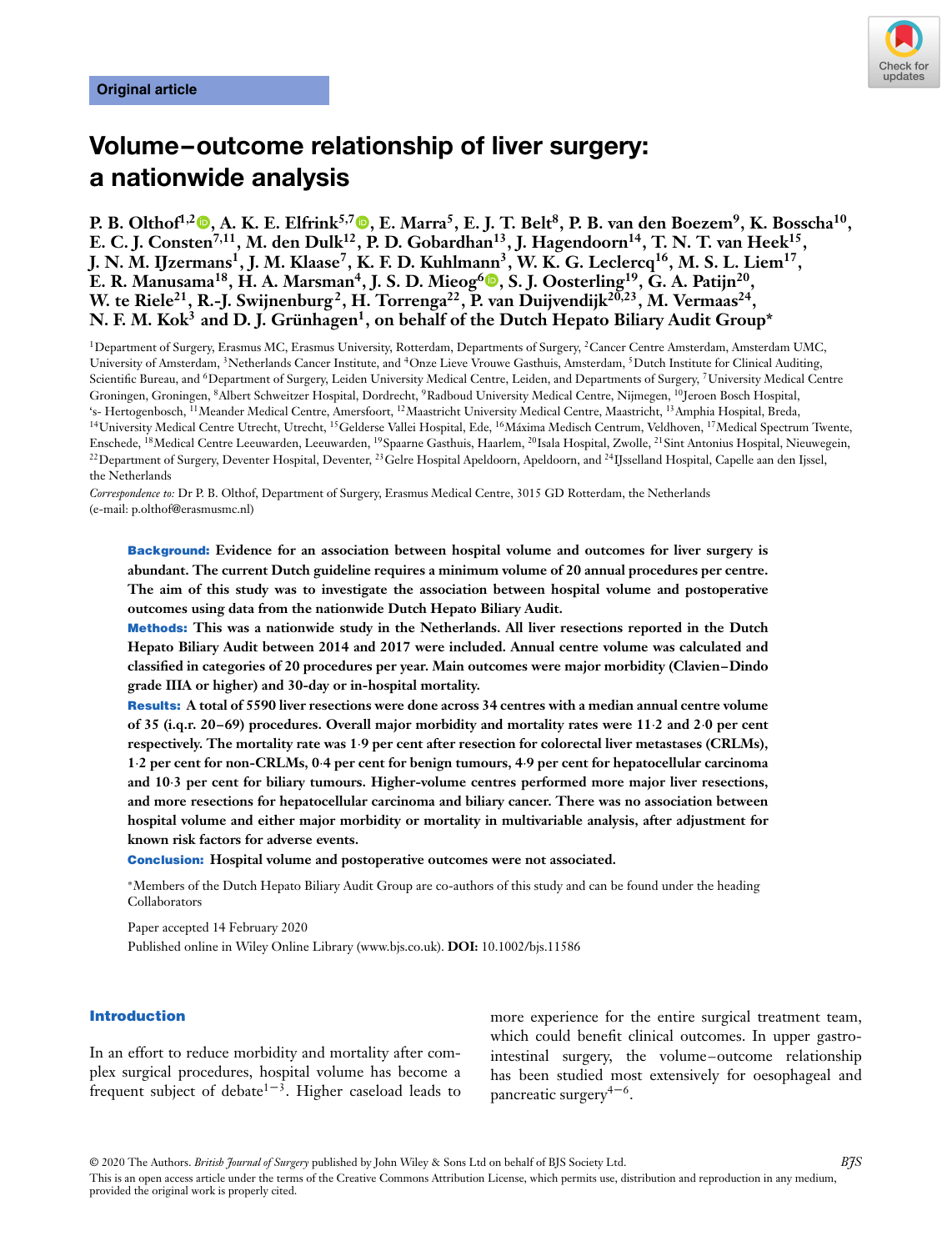

# **Volume–outcome relationship of liver surgery: a nationwide analysis**

**P. B. Olthof1,2 [,](https://orcid.org/0000-0002-1691-1808) A. K. E. Elfrink5,[7](https://orcid.org/0000-0003-2332-2849) , E. Marra5, E. J. T. Belt8, P. B. van den Boezem9, K. Bosscha10, E. C. J. Consten<sup>7,11</sup>, M. den Dulk<sup>12</sup>, P. D. Gobardhan<sup>13</sup>, J. Hagendoorn<sup>14</sup>, T. N. T. van Heek<sup>15</sup>, J. N. M. IJzermans1, J. M. Klaase7, K. F. D. Kuhlma[nn](https://orcid.org/0000-0002-3649-8504)3, W. K. G. Leclercq16, M. S. L. Liem17, E. R. Manusama18, H. A. Marsman4, J. S. D. Mieog6 , S. J. Oosterling19, G. A. Patijn20, W. te Riele21, R.-J. Swijnenburg2, H. Torrenga22, P. van Duijvendijk20,23, M. Vermaas24,** N. F. M. Kok<sup>3</sup> and D. J. Grünhagen<sup>1</sup>, on behalf of the Dutch Hepato Biliary Audit Group\*

<sup>1</sup>Department of Surgery, Erasmus MC, Erasmus University, Rotterdam, Departments of Surgery, <sup>2</sup>Cancer Centre Amsterdam, Amsterdam UMC, University of Amsterdam, 3Netherlands Cancer Institute, and 4Onze Lieve Vrouwe Gasthuis, Amsterdam, 5Dutch Institute for Clinical Auditing, Scientific Bureau, and <sup>6</sup>Department of Surgery, Leiden University Medical Centre, Leiden, and Departments of Surgery, <sup>7</sup>University Medical Centre Groningen, Groningen, 8Albert Schweitzer Hospital, Dordrecht, 9Radboud University Medical Centre, Nijmegen, 10Jeroen Bosch Hospital, 's- Hertogenbosch, 11Meander Medical Centre, Amersfoort, 12Maastricht University Medical Centre, Maastricht, 13Amphia Hospital, Breda, <sup>14</sup>University Medical Centre Utrecht, Utrecht, <sup>15</sup>Gelderse Vallei Hospital, Ede, <sup>16</sup>Máxima Medisch Centrum, Veldhoven, <sup>17</sup>Medical Spectrum Twente, Enschede, 18Medical Centre Leeuwarden, Leeuwarden, 19Spaarne Gasthuis, Haarlem, 20Isala Hospital, Zwolle, 21Sint Antonius Hospital, Nieuwegein, <sup>22</sup> Department of Surgery, Deventer Hospital, Deventer, <sup>23</sup> Gelre Hospital Apeldoorn, Apeldoorn, and <sup>24</sup>IJsselland Hospital, Capelle aan den Ijssel, the Netherlands

*Correspondence to:* Dr P. B. Olthof, Department of Surgery, Erasmus Medical Centre, 3015 GD Rotterdam, the Netherlands (e-mail: p.olthof@erasmusmc.nl)

**Background: Evidence for an association between hospital volume and outcomes for liver surgery is abundant. The current Dutch guideline requires a minimum volume of 20 annual procedures per centre. The aim of this study was to investigate the association between hospital volume and postoperative outcomes using data from the nationwide Dutch Hepato Biliary Audit.**

**Methods: This was a nationwide study in the Netherlands. All liver resections reported in the Dutch Hepato Biliary Audit between 2014 and 2017 were included. Annual centre volume was calculated and classified in categories of 20 procedures per year. Main outcomes were major morbidity (Clavien–Dindo grade IIIA or higher) and 30-day or in-hospital mortality.**

**Results: A total of 5590 liver resections were done across 34 centres with a median annual centre volume of 35 (i.q.r. 20–69) procedures. Overall major morbidity and mortality rates were 11⋅2 and 2⋅0 per cent respectively. The mortality rate was 1⋅9 per cent after resection for colorectal liver metastases (CRLMs), 1⋅2 per cent for non-CRLMs, 0⋅4 per cent for benign tumours, 4⋅9 per cent for hepatocellular carcinoma and 10⋅3 per cent for biliary tumours. Higher-volume centres performed more major liver resections, and more resections for hepatocellular carcinoma and biliary cancer. There was no association between hospital volume and either major morbidity or mortality in multivariable analysis, after adjustment for known risk factors for adverse events.**

**Conclusion: Hospital volume and postoperative outcomes were not associated.**

<sup>∗</sup>Members of the Dutch Hepato Biliary Audit Group are co-authors of this study and can be found under the heading Collaborators

Paper accepted 14 February 2020 Published online in Wiley Online Library (www.bjs.co.uk). **DOI:** 10.1002/bjs.11586

#### **Introduction**

In an effort to reduce morbidity and mortality after complex surgical procedures, hospital volume has become a frequent subject of debate<sup> $1-3$ </sup>. Higher caseload leads to

more experience for the entire surgical treatment team, which could benefit clinical outcomes. In upper gastrointestinal surgery, the volume–outcome relationship has been studied most extensively for oesophageal and pancreatic surgery $4-6$ .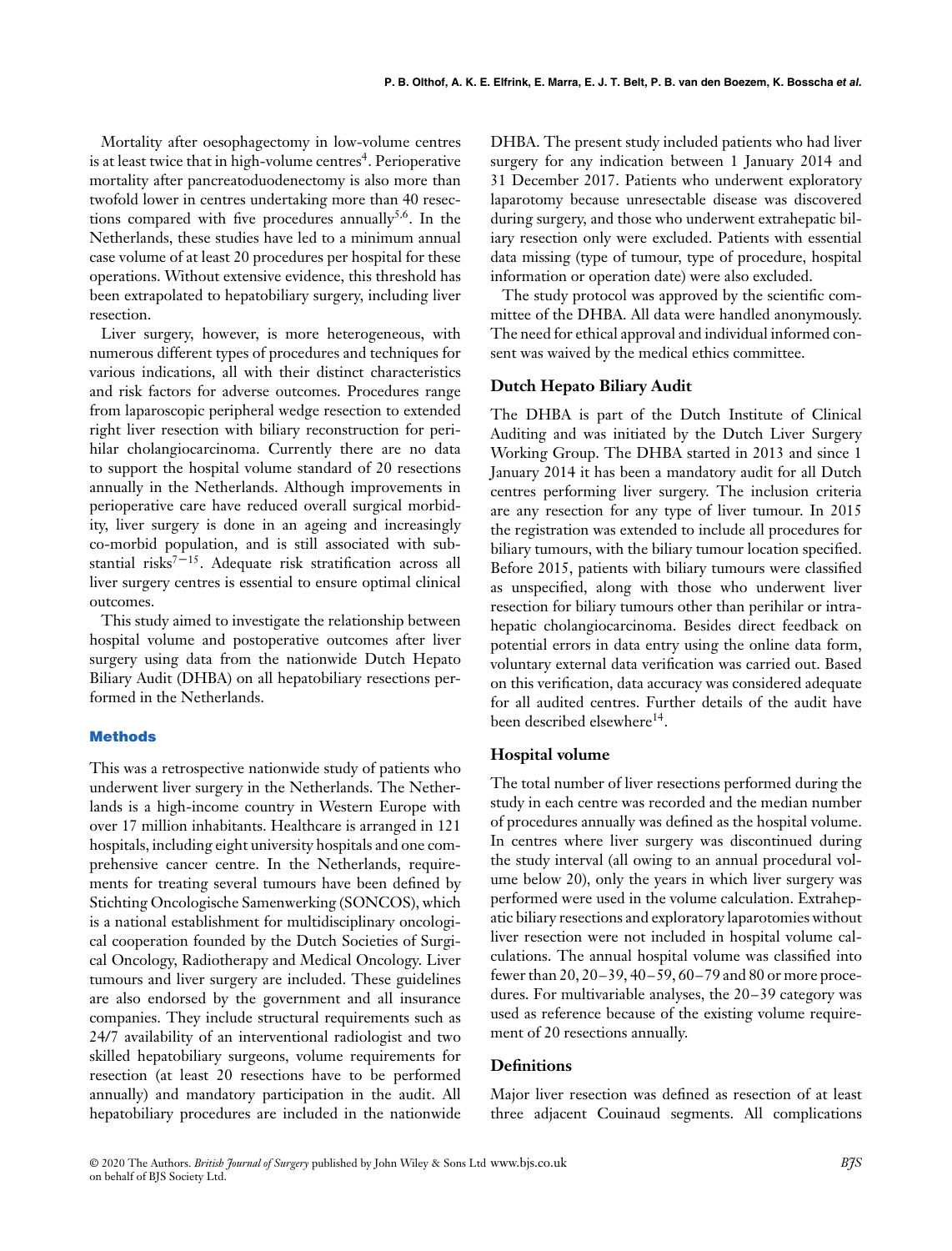Mortality after oesophagectomy in low-volume centres is at least twice that in high-volume centres<sup>4</sup>. Perioperative mortality after pancreatoduodenectomy is also more than twofold lower in centres undertaking more than 40 resections compared with five procedures annually<sup>5,6</sup>. In the Netherlands, these studies have led to a minimum annual case volume of at least 20 procedures per hospital for these operations. Without extensive evidence, this threshold has been extrapolated to hepatobiliary surgery, including liver resection.

Liver surgery, however, is more heterogeneous, with numerous different types of procedures and techniques for various indications, all with their distinct characteristics and risk factors for adverse outcomes. Procedures range from laparoscopic peripheral wedge resection to extended right liver resection with biliary reconstruction for perihilar cholangiocarcinoma. Currently there are no data to support the hospital volume standard of 20 resections annually in the Netherlands. Although improvements in perioperative care have reduced overall surgical morbidity, liver surgery is done in an ageing and increasingly co-morbid population, and is still associated with substantial risks $7-15$ . Adequate risk stratification across all liver surgery centres is essential to ensure optimal clinical outcomes.

This study aimed to investigate the relationship between hospital volume and postoperative outcomes after liver surgery using data from the nationwide Dutch Hepato Biliary Audit (DHBA) on all hepatobiliary resections performed in the Netherlands.

#### **Methods**

This was a retrospective nationwide study of patients who underwent liver surgery in the Netherlands. The Netherlands is a high-income country in Western Europe with over 17 million inhabitants. Healthcare is arranged in 121 hospitals, including eight university hospitals and one comprehensive cancer centre. In the Netherlands, requirements for treating several tumours have been defined by Stichting Oncologische Samenwerking (SONCOS), which is a national establishment for multidisciplinary oncological cooperation founded by the Dutch Societies of Surgical Oncology, Radiotherapy and Medical Oncology. Liver tumours and liver surgery are included. These guidelines are also endorsed by the government and all insurance companies. They include structural requirements such as 24/7 availability of an interventional radiologist and two skilled hepatobiliary surgeons, volume requirements for resection (at least 20 resections have to be performed annually) and mandatory participation in the audit. All hepatobiliary procedures are included in the nationwide

DHBA. The present study included patients who had liver surgery for any indication between 1 January 2014 and 31 December 2017. Patients who underwent exploratory laparotomy because unresectable disease was discovered during surgery, and those who underwent extrahepatic biliary resection only were excluded. Patients with essential data missing (type of tumour, type of procedure, hospital information or operation date) were also excluded.

The study protocol was approved by the scientific committee of the DHBA. All data were handled anonymously. The need for ethical approval and individual informed consent was waived by the medical ethics committee.

#### **Dutch Hepato Biliary Audit**

The DHBA is part of the Dutch Institute of Clinical Auditing and was initiated by the Dutch Liver Surgery Working Group. The DHBA started in 2013 and since 1 January 2014 it has been a mandatory audit for all Dutch centres performing liver surgery. The inclusion criteria are any resection for any type of liver tumour. In 2015 the registration was extended to include all procedures for biliary tumours, with the biliary tumour location specified. Before 2015, patients with biliary tumours were classified as unspecified, along with those who underwent liver resection for biliary tumours other than perihilar or intrahepatic cholangiocarcinoma. Besides direct feedback on potential errors in data entry using the online data form, voluntary external data verification was carried out. Based on this verification, data accuracy was considered adequate for all audited centres. Further details of the audit have been described elsewhere<sup>14</sup>.

## **Hospital volume**

The total number of liver resections performed during the study in each centre was recorded and the median number of procedures annually was defined as the hospital volume. In centres where liver surgery was discontinued during the study interval (all owing to an annual procedural volume below 20), only the years in which liver surgery was performed were used in the volume calculation. Extrahepatic biliary resections and exploratory laparotomies without liver resection were not included in hospital volume calculations. The annual hospital volume was classified into fewer than 20, 20–39, 40–59, 60–79 and 80 or more procedures. For multivariable analyses, the 20–39 category was used as reference because of the existing volume requirement of 20 resections annually.

### **Definitions**

Major liver resection was defined as resection of at least three adjacent Couinaud segments. All complications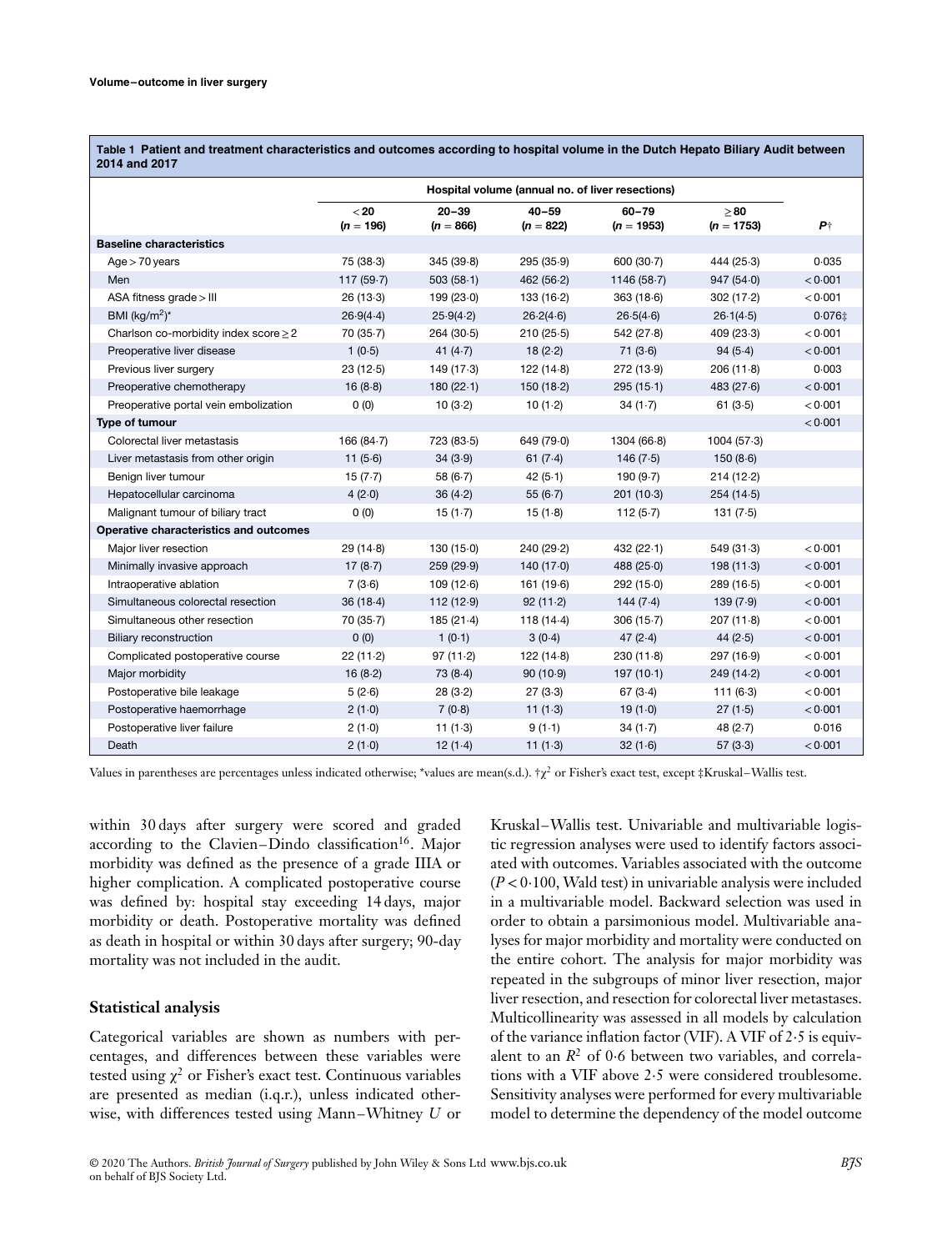**Table 1 Patient and treatment characteristics and outcomes according to hospital volume in the Dutch Hepato Biliary Audit between 2014 and 2017**

|                                            | Hospital volume (annual no. of liver resections) |                          |                          |                           |                           |             |
|--------------------------------------------|--------------------------------------------------|--------------------------|--------------------------|---------------------------|---------------------------|-------------|
|                                            | < 20<br>$(n = 196)$                              | $20 - 39$<br>$(n = 866)$ | $40 - 59$<br>$(n = 822)$ | $60 - 79$<br>$(n = 1953)$ | $\geq 80$<br>$(n = 1753)$ | $P_{\perp}$ |
| <b>Baseline characteristics</b>            |                                                  |                          |                          |                           |                           |             |
| $Age > 70$ years                           | 75(38.3)                                         | 345(39.8)                | 295(35.9)                | 600(30.7)                 | 444(25.3)                 | 0.035       |
| Men                                        | 117(59.7)                                        | 503(58.1)                | 462(56.2)                | 1146(58.7)                | 947(54.0)                 | < 0.001     |
| ASA fitness grade > III                    | 26(13.3)                                         | 199(23.0)                | 133(16.2)                | 363(18.6)                 | 302(17.2)                 | < 0.001     |
| BMI (kg/m <sup>2</sup> ) <sup>*</sup>      | 26.9(4.4)                                        | 25.9(4.2)                | 26.2(4.6)                | 26.5(4.6)                 | 26.1(4.5)                 | $0.076$ ‡   |
| Charlson co-morbidity index score $\geq$ 2 | 70(35.7)                                         | 264(30.5)                | 210(25.5)                | 542(27.8)                 | 409(23.3)                 | < 0.001     |
| Preoperative liver disease                 | 1(0.5)                                           | 41 $(4.7)$               | 18(2.2)                  | 71(3.6)                   | 94(5.4)                   | < 0.001     |
| Previous liver surgery                     | 23(12.5)                                         | 149(17.3)                | 122(14.8)                | 272 (13-9)                | 206(11.8)                 | 0.003       |
| Preoperative chemotherapy                  | 16(8.8)                                          | 180(22.1)                | 150(18.2)                | 295(15.1)                 | 483(27.6)                 | < 0.001     |
| Preoperative portal vein embolization      | 0(0)                                             | 10(3.2)                  | 10 $(1.2)$               | 34(1.7)                   | 61(3.5)                   | < 0.001     |
| Type of tumour                             |                                                  |                          |                          |                           |                           | < 0.001     |
| Colorectal liver metastasis                | 166 $(84.7)$                                     | 723 (83-5)               | 649 (79.0)               | 1304(66.8)                | 1004(57.3)                |             |
| Liver metastasis from other origin         | 11 $(5.6)$                                       | 34(3.9)                  | 61(7.4)                  | 146 $(7.5)$               | 150(8.6)                  |             |
| Benign liver tumour                        | 15(7.7)                                          | 58 $(6.7)$               | 42(5.1)                  | 190(9.7)                  | 214(12.2)                 |             |
| Hepatocellular carcinoma                   | 4(2.0)                                           | 36(4.2)                  | 55 $(6.7)$               | 201(10.3)                 | 254(14.5)                 |             |
| Malignant tumour of biliary tract          | 0(0)                                             | $15(1-7)$                | 15(1.8)                  | 112 $(5.7)$               | 131(7.5)                  |             |
| Operative characteristics and outcomes     |                                                  |                          |                          |                           |                           |             |
| Major liver resection                      | 29(14.8)                                         | 130(15.0)                | 240 (29.2)               | 432(22.1)                 | 549(31.3)                 | < 0.001     |
| Minimally invasive approach                | 17(8.7)                                          | 259(29.9)                | 140(17.0)                | 488 (25.0)                | 198(11.3)                 | < 0.001     |
| Intraoperative ablation                    | 7(3.6)                                           | 109(12.6)                | 161 (19.6)               | 292(15.0)                 | 289(16.5)                 | < 0.001     |
| Simultaneous colorectal resection          | 36(18.4)                                         | 112(12.9)                | 92(11.2)                 | 144(7.4)                  | 139(7.9)                  | < 0.001     |
| Simultaneous other resection               | 70(35.7)                                         | 185(21.4)                | 118 $(14.4)$             | 306(15.7)                 | 207(11.8)                 | < 0.001     |
| <b>Biliary reconstruction</b>              | 0(0)                                             | 1(0.1)                   | 3(0.4)                   | 47(2.4)                   | 44(2.5)                   | < 0.001     |
| Complicated postoperative course           | 22(11.2)                                         | 97(11.2)                 | 122(14.8)                | 230(11.8)                 | 297 (16.9)                | < 0.001     |
| Major morbidity                            | 16(8.2)                                          | 73(8.4)                  | 90(10.9)                 | 197(10.1)                 | 249(14.2)                 | < 0.001     |
| Postoperative bile leakage                 | 5(2.6)                                           | 28(3.2)                  | 27(3.3)                  | 67(3.4)                   | 111(6.3)                  | < 0.001     |
| Postoperative haemorrhage                  | 2(1.0)                                           | 7(0.8)                   | 11(1.3)                  | 19(1.0)                   | 27(1.5)                   | < 0.001     |
| Postoperative liver failure                | 2(1.0)                                           | 11(1.3)                  | 9(1.1)                   | $34(1-7)$                 | 48(2.7)                   | 0.016       |
| Death                                      | 2(1.0)                                           | 12(1.4)                  | 11(1.3)                  | 32(1.6)                   | 57(3.3)                   | < 0.001     |

Values in parentheses are percentages unless indicated otherwise; \*values are mean(s.d.).  $\forall x^2$  or Fisher's exact test, except  $\sharp$ Kruskal–Wallis test.

within 30 days after surgery were scored and graded according to the Clavien–Dindo classification<sup>16</sup>. Major morbidity was defined as the presence of a grade IIIA or higher complication. A complicated postoperative course was defined by: hospital stay exceeding 14 days, major morbidity or death. Postoperative mortality was defined as death in hospital or within 30 days after surgery; 90-day mortality was not included in the audit.

### **Statistical analysis**

Categorical variables are shown as numbers with percentages, and differences between these variables were tested using  $\chi^2$  or Fisher's exact test. Continuous variables are presented as median (i.q.r.), unless indicated otherwise, with differences tested using Mann–Whitney *U* or

Kruskal–Wallis test. Univariable and multivariable logistic regression analyses were used to identify factors associated with outcomes. Variables associated with the outcome (*P <*0⋅100, Wald test) in univariable analysis were included in a multivariable model. Backward selection was used in order to obtain a parsimonious model. Multivariable analyses for major morbidity and mortality were conducted on the entire cohort. The analysis for major morbidity was repeated in the subgroups of minor liver resection, major liver resection, and resection for colorectal liver metastases. Multicollinearity was assessed in all models by calculation of the variance inflation factor (VIF). A VIF of 2⋅5 is equivalent to an *R*<sup>2</sup> of 0⋅6 between two variables, and correlations with a VIF above 2⋅5 were considered troublesome. Sensitivity analyses were performed for every multivariable model to determine the dependency of the model outcome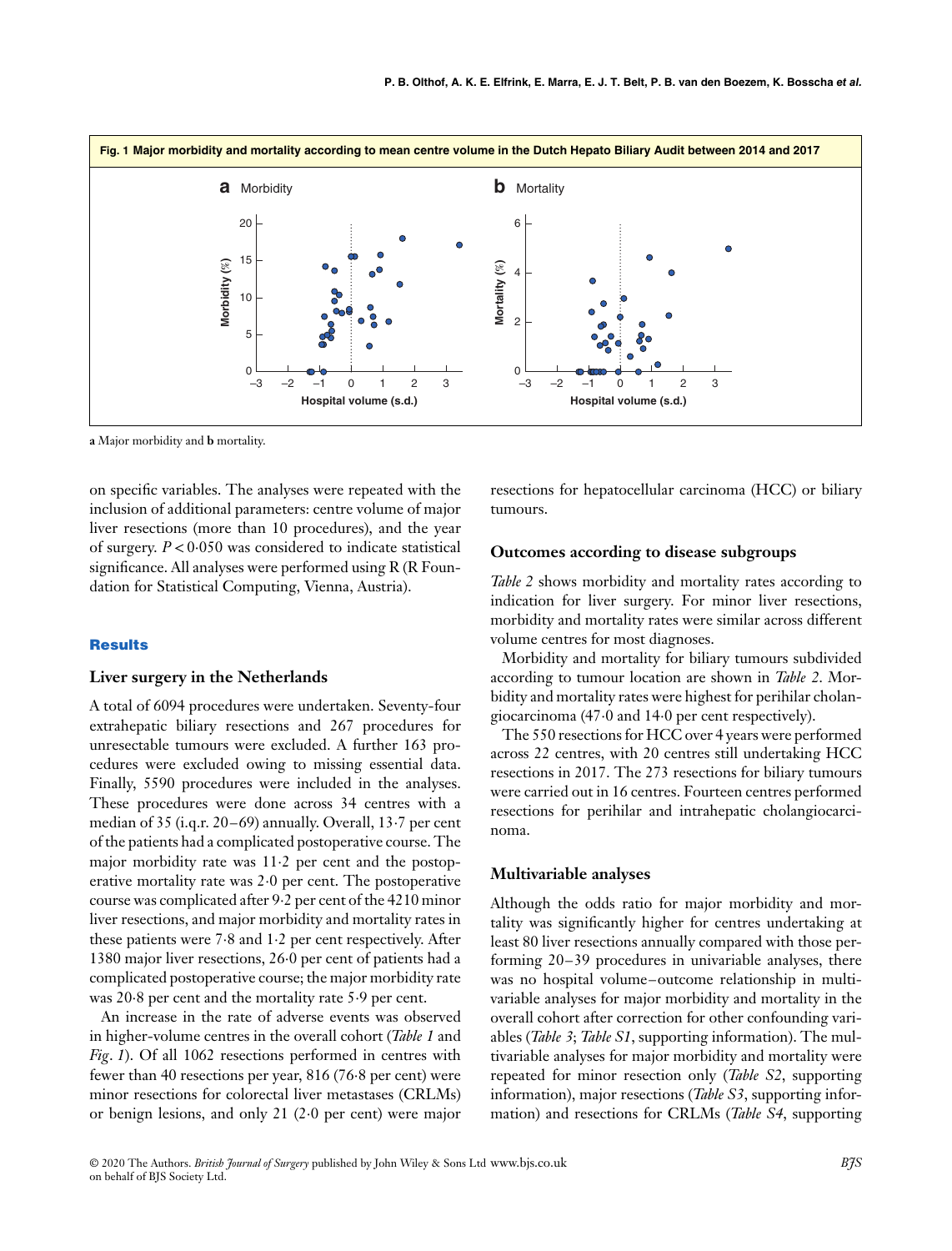

**a** Major morbidity and **b** mortality.

on specific variables. The analyses were repeated with the inclusion of additional parameters: centre volume of major liver resections (more than 10 procedures), and the year of surgery. *P <*0⋅050 was considered to indicate statistical significance. All analyses were performed using R (R Foundation for Statistical Computing, Vienna, Austria).

#### **Results**

#### **Liver surgery in the Netherlands**

A total of 6094 procedures were undertaken. Seventy-four extrahepatic biliary resections and 267 procedures for unresectable tumours were excluded. A further 163 procedures were excluded owing to missing essential data. Finally, 5590 procedures were included in the analyses. These procedures were done across 34 centres with a median of 35 (i.q.r. 20–69) annually. Overall, 13⋅7 per cent of the patients had a complicated postoperative course. The major morbidity rate was 11⋅2 per cent and the postoperative mortality rate was 2⋅0 per cent. The postoperative course was complicated after 9⋅2 per cent of the 4210 minor liver resections, and major morbidity and mortality rates in these patients were 7⋅8 and 1⋅2 per cent respectively. After 1380 major liver resections, 26⋅0 per cent of patients had a complicated postoperative course; the major morbidity rate was 20⋅8 per cent and the mortality rate 5⋅9 per cent.

An increase in the rate of adverse events was observed in higher-volume centres in the overall cohort (*Table 1* and *Fig*. *1*). Of all 1062 resections performed in centres with fewer than 40 resections per year, 816 (76⋅8 per cent) were minor resections for colorectal liver metastases (CRLMs) or benign lesions, and only 21 (2⋅0 per cent) were major

resections for hepatocellular carcinoma (HCC) or biliary tumours.

#### **Outcomes according to disease subgroups**

*Table 2* shows morbidity and mortality rates according to indication for liver surgery. For minor liver resections, morbidity and mortality rates were similar across different volume centres for most diagnoses.

Morbidity and mortality for biliary tumours subdivided according to tumour location are shown in *Table 2*. Morbidity and mortality rates were highest for perihilar cholangiocarcinoma (47⋅0 and 14⋅0 per cent respectively).

The 550 resections for HCC over 4 years were performed across 22 centres, with 20 centres still undertaking HCC resections in 2017. The 273 resections for biliary tumours were carried out in 16 centres. Fourteen centres performed resections for perihilar and intrahepatic cholangiocarcinoma.

#### **Multivariable analyses**

Although the odds ratio for major morbidity and mortality was significantly higher for centres undertaking at least 80 liver resections annually compared with those performing 20–39 procedures in univariable analyses, there was no hospital volume–outcome relationship in multivariable analyses for major morbidity and mortality in the overall cohort after correction for other confounding variables (*Table 3*; *Table S1*, supporting information). The multivariable analyses for major morbidity and mortality were repeated for minor resection only (*Table S2*, supporting information), major resections (*Table S3*, supporting information) and resections for CRLMs (*Table S4*, supporting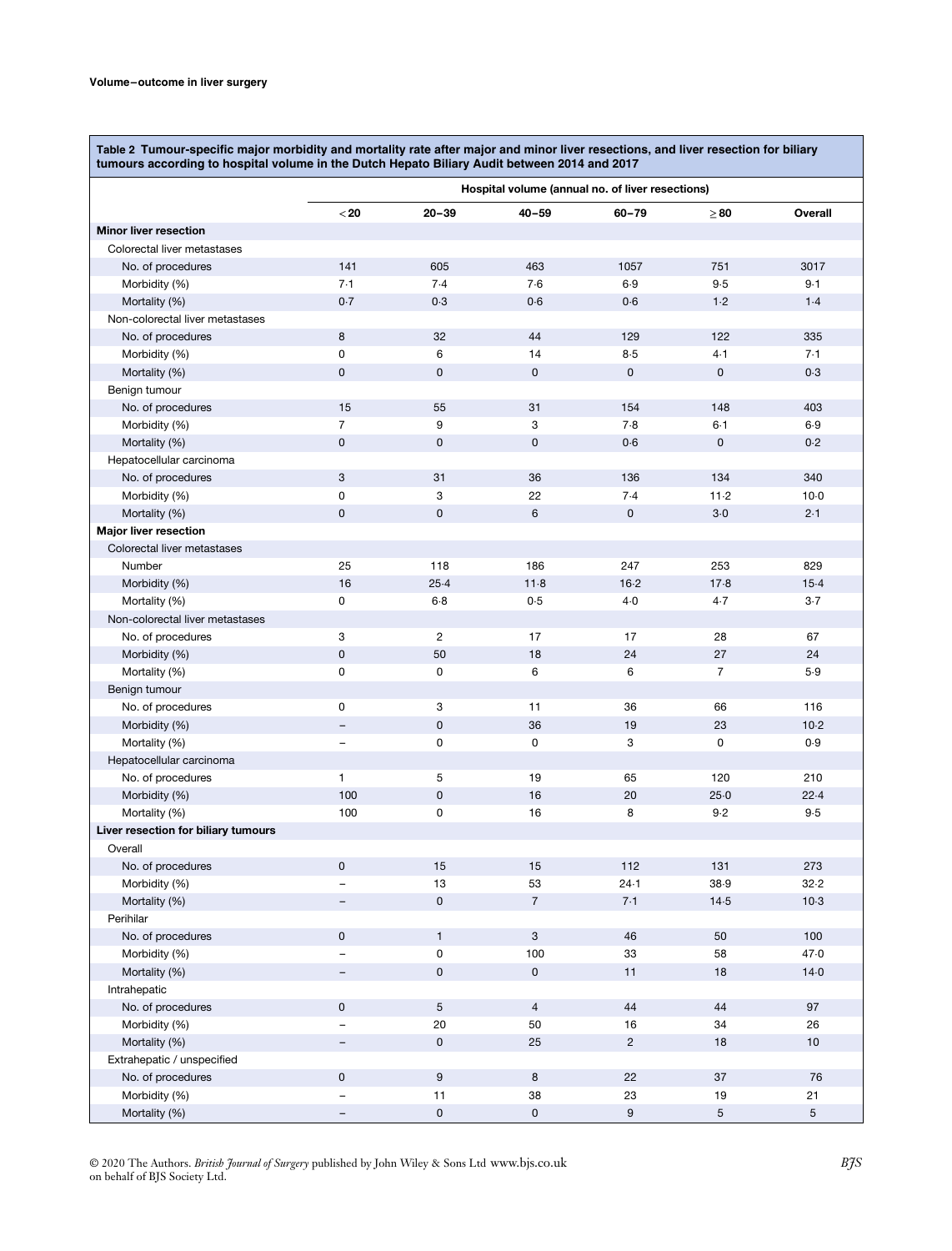**Table 2 Tumour-specific major morbidity and mortality rate after major and minor liver resections, and liver resection for biliary tumours according to hospital volume in the Dutch Hepato Biliary Audit between 2014 and 2017**

|                                     | Hospital volume (annual no. of liver resections) |                     |                     |                  |                |                 |
|-------------------------------------|--------------------------------------------------|---------------------|---------------------|------------------|----------------|-----------------|
|                                     | $20$                                             | $20 - 39$           | $40 - 59$           | $60 - 79$        | $\geq 80$      | Overall         |
| <b>Minor liver resection</b>        |                                                  |                     |                     |                  |                |                 |
| Colorectal liver metastases         |                                                  |                     |                     |                  |                |                 |
| No. of procedures                   | 141                                              | 605                 | 463                 | 1057             | 751            | 3017            |
| Morbidity (%)                       | 7.1                                              | 7.4                 | 7.6                 | 6.9              | 9.5            | 9.1             |
| Mortality (%)                       | 0.7                                              | 0.3                 | 0.6                 | 0.6              | 1.2            | 1.4             |
| Non-colorectal liver metastases     |                                                  |                     |                     |                  |                |                 |
| No. of procedures                   | 8                                                | 32                  | 44                  | 129              | 122            | 335             |
| Morbidity (%)                       | 0                                                | 6                   | 14                  | 8.5              | 4.1            | 7.1             |
| Mortality (%)                       | $\mathbf 0$                                      | $\mathbf 0$         | 0                   | $\pmb{0}$        | $\mathsf 0$    | 0.3             |
| Benign tumour                       |                                                  |                     |                     |                  |                |                 |
| No. of procedures                   | 15                                               | 55                  | 31                  | 154              | 148            | 403             |
| Morbidity (%)                       | $\overline{7}$                                   | 9                   | 3                   | 7.8              | 6.1            | 6.9             |
| Mortality (%)                       | $\mathsf 0$                                      | $\mathbf 0$         | 0                   | 0.6              | $\mathsf 0$    | 0.2             |
| Hepatocellular carcinoma            |                                                  |                     |                     |                  |                |                 |
| No. of procedures                   | 3                                                | 31                  | 36                  | 136              | 134            | 340             |
| Morbidity (%)                       | $\mathbf 0$                                      | 3                   | 22                  | 7.4              | 11.2           | $10-0$          |
| Mortality (%)                       | $\pmb{0}$                                        | $\mathbf 0$         | 6                   | $\pmb{0}$        | $3-0$          | 2.1             |
| <b>Major liver resection</b>        |                                                  |                     |                     |                  |                |                 |
| Colorectal liver metastases         |                                                  |                     |                     |                  |                |                 |
| Number                              | 25                                               | 118                 | 186                 | 247              | 253            | 829             |
| Morbidity (%)                       | 16                                               | 25.4                | 11.8                | 16.2             | 17.8           | 15.4            |
| Mortality (%)                       | 0                                                | $6-8$               | 0.5                 | 4.0              | 4.7            | $3-7$           |
| Non-colorectal liver metastases     |                                                  |                     |                     |                  |                |                 |
| No. of procedures                   | 3                                                | $\overline{2}$      | 17                  | 17               | 28             | 67              |
| Morbidity (%)                       | $\mathsf 0$                                      | 50                  | 18                  | 24               | 27             | 24              |
| Mortality (%)                       | $\mathsf 0$                                      | 0                   | 6                   | 6                | $\overline{7}$ | 5.9             |
| Benign tumour                       |                                                  |                     |                     |                  |                |                 |
| No. of procedures                   | 0                                                | 3                   | 11                  | 36               | 66             | 116             |
| Morbidity (%)                       | $\overline{\phantom{a}}$                         | $\mathbf 0$         | 36                  | 19               | 23             | 10.2            |
| Mortality (%)                       | $\qquad \qquad -$                                | 0                   | 0                   | 3                | 0              | 0.9             |
| Hepatocellular carcinoma            |                                                  |                     |                     |                  |                |                 |
| No. of procedures                   | 1                                                | 5                   | 19                  | 65               | 120            | 210             |
| Morbidity (%)                       | 100                                              | $\mathbf 0$         | 16                  | 20               | 25.0           | 22.4            |
| Mortality (%)                       | 100                                              | $\mathbf 0$         | 16                  | 8                | 9.2            | 9.5             |
| Liver resection for biliary tumours |                                                  |                     |                     |                  |                |                 |
| Overall                             |                                                  |                     |                     |                  |                |                 |
| No. of procedures                   | $\mathbf{0}$                                     | 15                  | 15                  | 112              | 131            | 273             |
| Morbidity (%)                       |                                                  | 13                  | 53                  | 24.1             | 38.9           | 32.2            |
| Mortality (%)                       |                                                  | $\mathsf{O}$        | $\overline{7}$      | 7.1              | 14.5           | 10.3            |
| Perihilar                           |                                                  |                     |                     |                  |                |                 |
| No. of procedures                   | $\mathsf 0$                                      | $\mathbf{1}$        | $\mathbf{3}$        | 46               | 50             | 100             |
| Morbidity (%)                       | $\overline{\phantom{0}}$                         | 0                   | 100                 | 33               | 58             | 47.0            |
| Mortality (%)                       | -                                                | $\mathsf{O}\xspace$ | $\mathsf{O}\xspace$ | 11               | 18             | 14.0            |
| Intrahepatic                        |                                                  |                     |                     |                  |                |                 |
| No. of procedures                   | $\pmb{0}$                                        | $\overline{5}$      | $\overline{4}$      | 44               | 44             | 97              |
| Morbidity (%)                       | $\overline{\phantom{0}}$                         | 20                  | 50                  | 16               | 34             | 26              |
| Mortality (%)                       | -                                                | $\mathbf 0$         | 25                  | $\overline{2}$   | 18             | 10              |
| Extrahepatic / unspecified          |                                                  |                     |                     |                  |                |                 |
| No. of procedures                   | $\mathsf 0$                                      | $\overline{9}$      | 8                   | 22               | 37             | 76              |
| Morbidity (%)                       | $\overline{\phantom{0}}$                         | 11                  | 38                  | 23               | $19$           | 21              |
| Mortality (%)                       | $\overline{\phantom{0}}$                         | $\mathbf 0$         | $\mathbf 0$         | $\boldsymbol{9}$ | 5              | $5\phantom{.0}$ |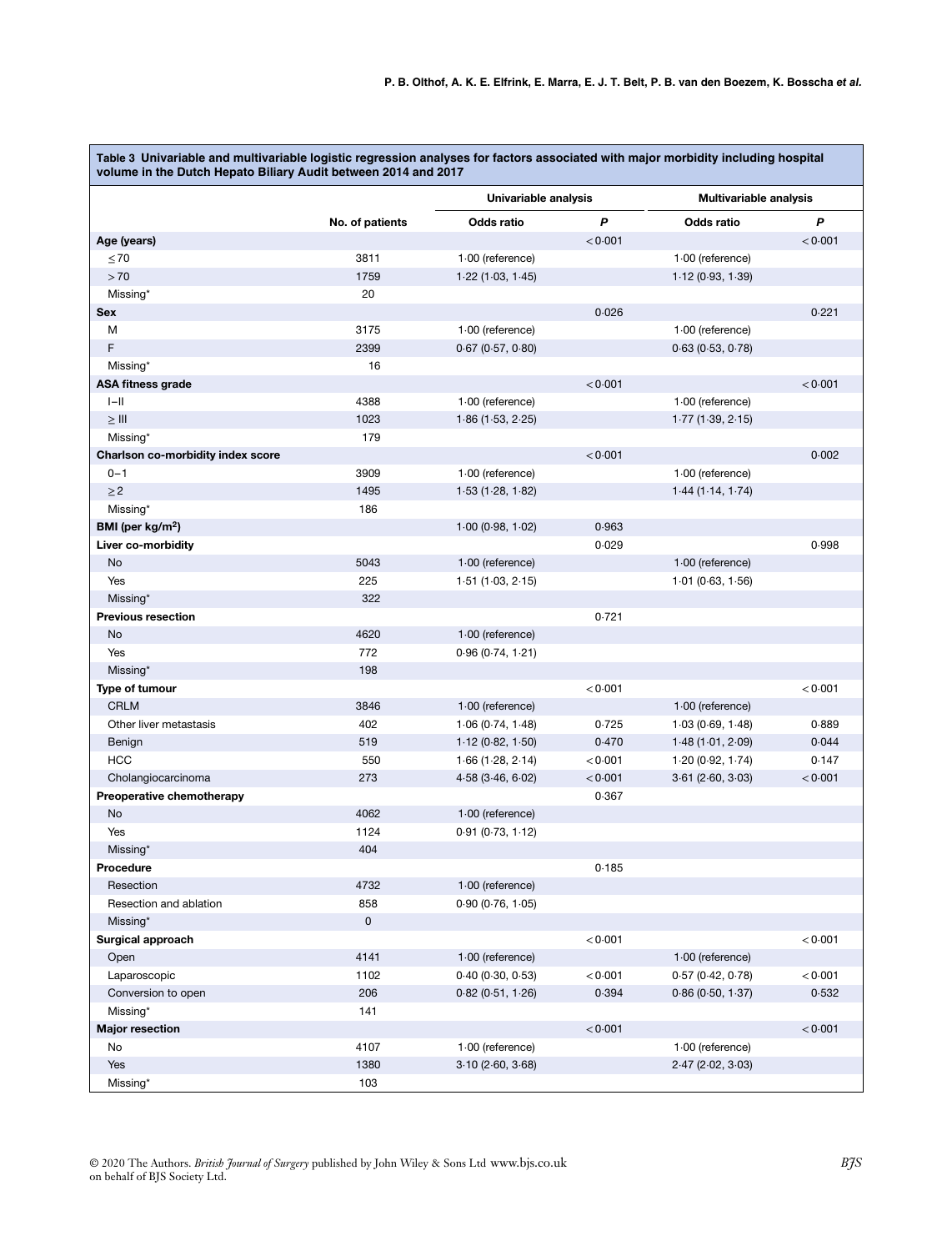**Table 3 Univariable and multivariable logistic regression analyses for factors associated with major morbidity including hospital volume in the Dutch Hepato Biliary Audit between 2014 and 2017**

|                                   |                 | Univariable analysis                   |         | <b>Multivariable analysis</b>        |         |
|-----------------------------------|-----------------|----------------------------------------|---------|--------------------------------------|---------|
|                                   | No. of patients | Odds ratio                             | P       | Odds ratio                           | P       |
| Age (years)                       |                 |                                        | < 0.001 |                                      | < 0.001 |
| $\leq 70$                         | 3811            | $1.00$ (reference)                     |         | 1.00 (reference)                     |         |
| >70                               | 1759            | 1.22(1.03, 1.45)                       |         | 1.12(0.93, 1.39)                     |         |
| Missing*                          | 20              |                                        |         |                                      |         |
| <b>Sex</b>                        |                 |                                        | 0.026   |                                      | 0.221   |
| М                                 | 3175            | $1.00$ (reference)                     |         | 1.00 (reference)                     |         |
| F                                 | 2399            | $0.67$ ( $0.57$ , $0.80$ )             |         | 0.63(0.53, 0.78)                     |         |
| Missing*                          | 16              |                                        |         |                                      |         |
| <b>ASA fitness grade</b>          |                 |                                        | < 0.001 |                                      | < 0.001 |
| $I-II$                            | 4388            | 1.00 (reference)                       |         | 1.00 (reference)                     |         |
| $\geq$ III                        | 1023            | 1.86(1.53, 2.25)                       |         | 1.77(1.39, 2.15)                     |         |
| Missing*                          | 179             |                                        |         |                                      |         |
| Charlson co-morbidity index score |                 |                                        | < 0.001 |                                      | 0.002   |
| $0 - 1$                           | 3909            | 1.00 (reference)                       |         | $1.00$ (reference)                   |         |
| $\geq$ 2                          | 1495            | 1.53(1.28, 1.82)                       |         | 1.44(1.14, 1.74)                     |         |
| Missing*                          | 186             |                                        |         |                                      |         |
| BMI (per $kg/m2$ )                |                 | 1.00(0.98, 1.02)                       | 0.963   |                                      |         |
| Liver co-morbidity                |                 |                                        | 0.029   |                                      | 0.998   |
| No                                | 5043            | $1.00$ (reference)                     |         | $1.00$ (reference)                   |         |
| Yes                               | 225             | 1.51(1.03, 2.15)                       |         | 1.01(0.63, 1.56)                     |         |
| Missing*                          | 322             |                                        |         |                                      |         |
| <b>Previous resection</b>         |                 |                                        | 0.721   |                                      |         |
| No                                | 4620            | $1.00$ (reference)                     |         |                                      |         |
| Yes                               | 772             | 0.96(0.74, 1.21)                       |         |                                      |         |
| Missing*                          | 198             |                                        |         |                                      |         |
| Type of tumour                    |                 |                                        | < 0.001 |                                      | < 0.001 |
| <b>CRLM</b>                       | 3846            | $1.00$ (reference)                     |         | $1.00$ (reference)                   |         |
| Other liver metastasis            | 402             | 1.06(0.74, 1.48)                       | 0.725   | 1.03(0.69, 1.48)                     | 0.889   |
| Benign                            | 519             | 1.12(0.82, 1.50)                       | 0.470   | 1.48(1.01, 2.09)                     | 0.044   |
| <b>HCC</b>                        | 550             | 1.66(1.28, 2.14)                       | < 0.001 | 1.20(0.92, 1.74)                     | 0.147   |
| Cholangiocarcinoma                | 273             | $4.58$ ( $3.46, 6.02$ )                | < 0.001 | $3.61$ ( $2.60, 3.03$ )              | < 0.001 |
| Preoperative chemotherapy         |                 |                                        | 0.367   |                                      |         |
| No                                | 4062            | $1.00$ (reference)                     |         |                                      |         |
| Yes                               | 1124            | 0.91(0.73, 1.12)                       |         |                                      |         |
| Missing*                          | 404             |                                        |         |                                      |         |
| Procedure                         |                 |                                        | 0.185   |                                      |         |
| Resection                         | 4732            | $1.00$ (reference)                     |         |                                      |         |
| Resection and ablation            | 858             |                                        |         |                                      |         |
|                                   | $\mathsf 0$     | 0.90(0.76, 1.05)                       |         |                                      |         |
| Missing*<br>Surgical approach     |                 |                                        | < 0.001 |                                      | < 0.001 |
|                                   |                 |                                        |         |                                      |         |
| Open                              | 4141            | $1.00$ (reference)<br>0.40(0.30, 0.53) | < 0.001 | 1.00 (reference)<br>0.57(0.42, 0.78) | < 0.001 |
| Laparoscopic                      | 1102            |                                        | 0.394   |                                      |         |
| Conversion to open                | 206             | 0.82(0.51, 1.26)                       |         | 0.86(0.50, 1.37)                     | 0.532   |
| Missing*                          | 141             |                                        |         |                                      |         |
| <b>Major resection</b>            |                 |                                        | < 0.001 |                                      | < 0.001 |
| No                                | 4107            | 1.00 (reference)                       |         | 1.00 (reference)                     |         |
| Yes                               | 1380            | 3.10(2.60, 3.68)                       |         | $2.47$ ( $2.02$ , $3.03$ )           |         |
| Missing*                          | 103             |                                        |         |                                      |         |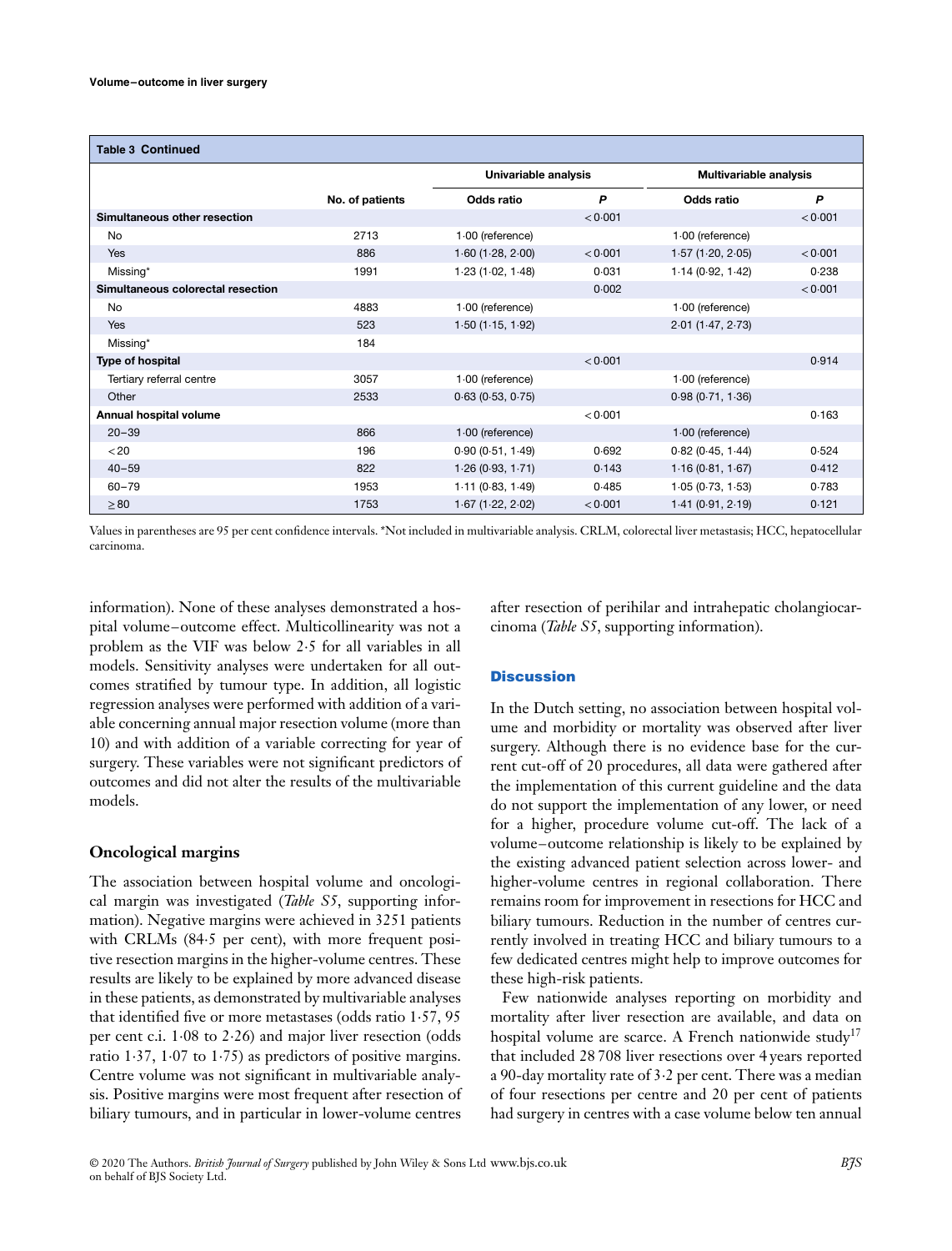| <b>Table 3 Continued</b>          |                 |                      |         |                        |         |
|-----------------------------------|-----------------|----------------------|---------|------------------------|---------|
|                                   |                 | Univariable analysis |         | Multivariable analysis |         |
|                                   | No. of patients | Odds ratio           | P       | Odds ratio             | P       |
| Simultaneous other resection      |                 |                      | < 0.001 |                        | < 0.001 |
| No                                | 2713            | $1.00$ (reference)   |         | 1.00 (reference)       |         |
| Yes                               | 886             | 1.60(1.28, 2.00)     | < 0.001 | 1.57(1.20, 2.05)       | < 0.001 |
| Missing*                          | 1991            | 1.23(1.02, 1.48)     | 0.031   | 1.14(0.92, 1.42)       | 0.238   |
| Simultaneous colorectal resection |                 |                      | 0.002   |                        | < 0.001 |
| No                                | 4883            | 1.00 (reference)     |         | $1.00$ (reference)     |         |
| Yes                               | 523             | 1.50(1.15, 1.92)     |         | 2.01(1.47, 2.73)       |         |
| Missing*                          | 184             |                      |         |                        |         |
| Type of hospital                  |                 |                      | < 0.001 |                        | 0.914   |
| Tertiary referral centre          | 3057            | 1.00 (reference)     |         | $1.00$ (reference)     |         |
| Other                             | 2533            | 0.63(0.53, 0.75)     |         | 0.98(0.71, 1.36)       |         |
| Annual hospital volume            |                 |                      | < 0.001 |                        | 0.163   |
| $20 - 39$                         | 866             | $1.00$ (reference)   |         | $1.00$ (reference)     |         |
| < 20                              | 196             | 0.90(0.51, 1.49)     | 0.692   | 0.82(0.45, 1.44)       | 0.524   |
| $40 - 59$                         | 822             | 1.26(0.93, 1.71)     | 0.143   | 1.16(0.81, 1.67)       | 0.412   |
| $60 - 79$                         | 1953            | 1.11(0.83, 1.49)     | 0.485   | 1.05(0.73, 1.53)       | 0.783   |
| $\geq 80$                         | 1753            | $1.67$ (1.22, 2.02)  | < 0.001 | 1.41(0.91, 2.19)       | 0.121   |

Values in parentheses are 95 per cent confidence intervals. \*Not included in multivariable analysis. CRLM, colorectal liver metastasis; HCC, hepatocellular carcinoma.

information). None of these analyses demonstrated a hospital volume–outcome effect. Multicollinearity was not a problem as the VIF was below 2⋅5 for all variables in all models. Sensitivity analyses were undertaken for all outcomes stratified by tumour type. In addition, all logistic regression analyses were performed with addition of a variable concerning annual major resection volume (more than 10) and with addition of a variable correcting for year of surgery. These variables were not significant predictors of outcomes and did not alter the results of the multivariable models.

### **Oncological margins**

The association between hospital volume and oncological margin was investigated (*Table S5*, supporting information). Negative margins were achieved in 3251 patients with CRLMs (84⋅5 per cent), with more frequent positive resection margins in the higher-volume centres. These results are likely to be explained by more advanced disease in these patients, as demonstrated by multivariable analyses that identified five or more metastases (odds ratio 1⋅57, 95 per cent c.i. 1⋅08 to 2⋅26) and major liver resection (odds ratio 1⋅37, 1⋅07 to 1⋅75) as predictors of positive margins. Centre volume was not significant in multivariable analysis. Positive margins were most frequent after resection of biliary tumours, and in particular in lower-volume centres

after resection of perihilar and intrahepatic cholangiocarcinoma (*Table S5*, supporting information).

## **Discussion**

In the Dutch setting, no association between hospital volume and morbidity or mortality was observed after liver surgery. Although there is no evidence base for the current cut-off of 20 procedures, all data were gathered after the implementation of this current guideline and the data do not support the implementation of any lower, or need for a higher, procedure volume cut-off. The lack of a volume–outcome relationship is likely to be explained by the existing advanced patient selection across lower- and higher-volume centres in regional collaboration. There remains room for improvement in resections for HCC and biliary tumours. Reduction in the number of centres currently involved in treating HCC and biliary tumours to a few dedicated centres might help to improve outcomes for these high-risk patients.

Few nationwide analyses reporting on morbidity and mortality after liver resection are available, and data on hospital volume are scarce. A French nationwide study<sup>17</sup> that included 28 708 liver resections over 4 years reported a 90-day mortality rate of 3⋅2 per cent. There was a median of four resections per centre and 20 per cent of patients had surgery in centres with a case volume below ten annual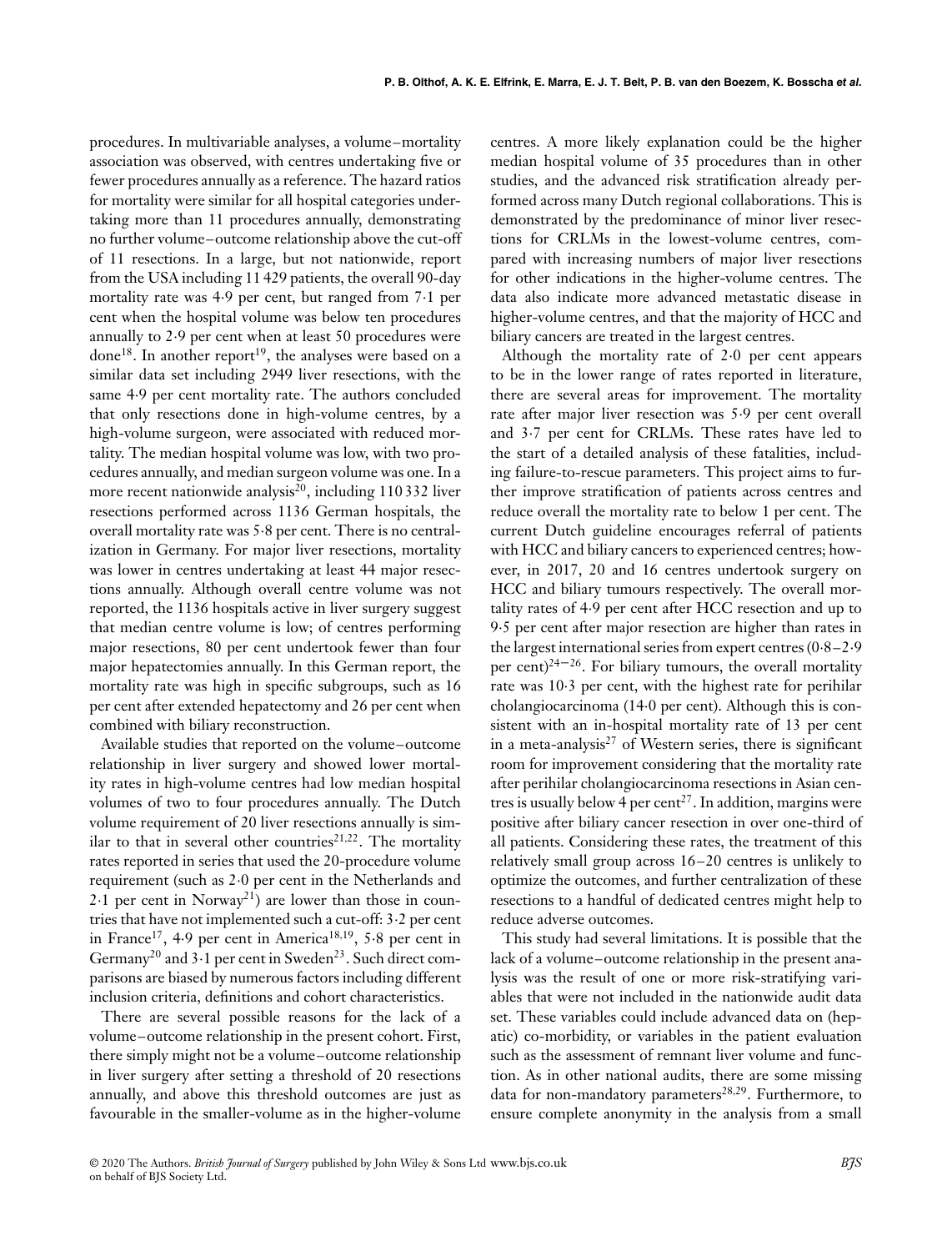procedures. In multivariable analyses, a volume–mortality association was observed, with centres undertaking five or fewer procedures annually as a reference. The hazard ratios for mortality were similar for all hospital categories undertaking more than 11 procedures annually, demonstrating no further volume–outcome relationship above the cut-off of 11 resections. In a large, but not nationwide, report from the USA including 11 429 patients, the overall 90-day mortality rate was 4⋅9 per cent, but ranged from 7⋅1 per cent when the hospital volume was below ten procedures annually to 2⋅9 per cent when at least 50 procedures were done<sup>18</sup>. In another report<sup>19</sup>, the analyses were based on a similar data set including 2949 liver resections, with the same 4⋅9 per cent mortality rate. The authors concluded that only resections done in high-volume centres, by a high-volume surgeon, were associated with reduced mortality. The median hospital volume was low, with two procedures annually, and median surgeon volume was one. In a more recent nationwide analysis<sup>20</sup>, including 110 332 liver resections performed across 1136 German hospitals, the overall mortality rate was 5⋅8 per cent. There is no centralization in Germany. For major liver resections, mortality was lower in centres undertaking at least 44 major resections annually. Although overall centre volume was not reported, the 1136 hospitals active in liver surgery suggest that median centre volume is low; of centres performing major resections, 80 per cent undertook fewer than four major hepatectomies annually. In this German report, the mortality rate was high in specific subgroups, such as 16 per cent after extended hepatectomy and 26 per cent when combined with biliary reconstruction.

Available studies that reported on the volume–outcome relationship in liver surgery and showed lower mortality rates in high-volume centres had low median hospital volumes of two to four procedures annually. The Dutch volume requirement of 20 liver resections annually is similar to that in several other countries<sup>21,22</sup>. The mortality rates reported in series that used the 20-procedure volume requirement (such as 2⋅0 per cent in the Netherlands and 2⋅1 per cent in Norway<sup>21</sup>) are lower than those in countries that have not implemented such a cut-off: 3⋅2 per cent in France17, 4⋅9 per cent in America18*,*19, 5⋅8 per cent in Germany<sup>20</sup> and  $3 \cdot 1$  per cent in Sweden<sup>23</sup>. Such direct comparisons are biased by numerous factors including different inclusion criteria, definitions and cohort characteristics.

There are several possible reasons for the lack of a volume–outcome relationship in the present cohort. First, there simply might not be a volume–outcome relationship in liver surgery after setting a threshold of 20 resections annually, and above this threshold outcomes are just as favourable in the smaller-volume as in the higher-volume centres. A more likely explanation could be the higher median hospital volume of 35 procedures than in other studies, and the advanced risk stratification already performed across many Dutch regional collaborations. This is demonstrated by the predominance of minor liver resections for CRLMs in the lowest-volume centres, compared with increasing numbers of major liver resections for other indications in the higher-volume centres. The data also indicate more advanced metastatic disease in higher-volume centres, and that the majority of HCC and biliary cancers are treated in the largest centres.

Although the mortality rate of 2⋅0 per cent appears to be in the lower range of rates reported in literature, there are several areas for improvement. The mortality rate after major liver resection was 5⋅9 per cent overall and 3⋅7 per cent for CRLMs. These rates have led to the start of a detailed analysis of these fatalities, including failure-to-rescue parameters. This project aims to further improve stratification of patients across centres and reduce overall the mortality rate to below 1 per cent. The current Dutch guideline encourages referral of patients with HCC and biliary cancers to experienced centres; however, in 2017, 20 and 16 centres undertook surgery on HCC and biliary tumours respectively. The overall mortality rates of 4⋅9 per cent after HCC resection and up to 9⋅5 per cent after major resection are higher than rates in the largest international series from expert centres (0⋅8–2⋅9 per cent)<sup>24–26</sup>. For biliary tumours, the overall mortality rate was 10⋅3 per cent, with the highest rate for perihilar cholangiocarcinoma (14⋅0 per cent). Although this is consistent with an in-hospital mortality rate of 13 per cent in a meta-analysis $^{27}$  of Western series, there is significant room for improvement considering that the mortality rate after perihilar cholangiocarcinoma resections in Asian centres is usually below 4 per cent<sup>27</sup>. In addition, margins were positive after biliary cancer resection in over one-third of all patients. Considering these rates, the treatment of this relatively small group across 16–20 centres is unlikely to optimize the outcomes, and further centralization of these resections to a handful of dedicated centres might help to reduce adverse outcomes.

This study had several limitations. It is possible that the lack of a volume–outcome relationship in the present analysis was the result of one or more risk-stratifying variables that were not included in the nationwide audit data set. These variables could include advanced data on (hepatic) co-morbidity, or variables in the patient evaluation such as the assessment of remnant liver volume and function. As in other national audits, there are some missing data for non-mandatory parameters<sup>28,29</sup>. Furthermore, to ensure complete anonymity in the analysis from a small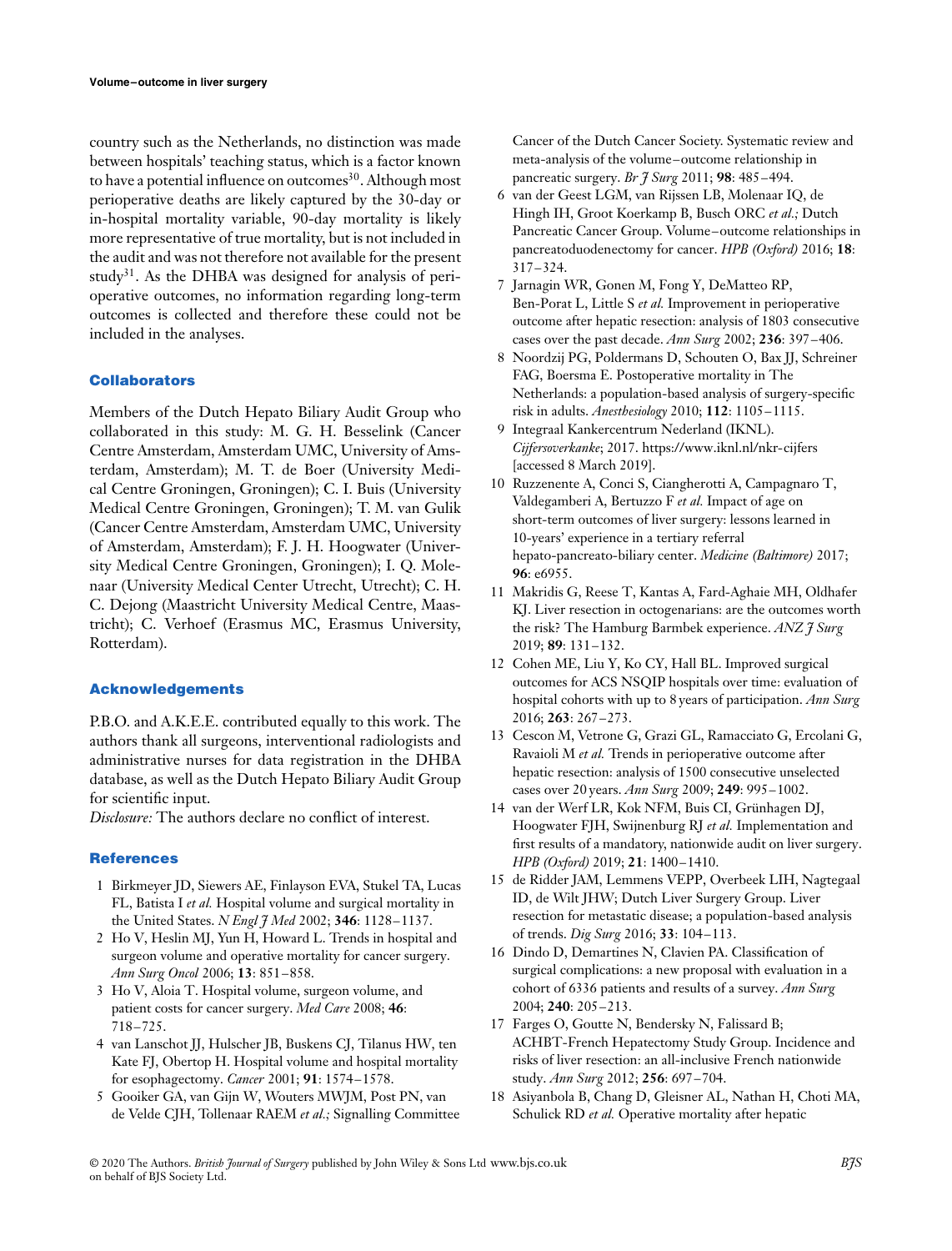country such as the Netherlands, no distinction was made between hospitals' teaching status, which is a factor known to have a potential influence on outcomes<sup>30</sup>. Although most perioperative deaths are likely captured by the 30-day or in-hospital mortality variable, 90-day mortality is likely more representative of true mortality, but is not included in the audit and was not therefore not available for the present study<sup>31</sup>. As the DHBA was designed for analysis of perioperative outcomes, no information regarding long-term outcomes is collected and therefore these could not be included in the analyses.

#### **Collaborators**

Members of the Dutch Hepato Biliary Audit Group who collaborated in this study: M. G. H. Besselink (Cancer Centre Amsterdam, Amsterdam UMC, University of Amsterdam, Amsterdam); M. T. de Boer (University Medical Centre Groningen, Groningen); C. I. Buis (University Medical Centre Groningen, Groningen); T. M. van Gulik (Cancer Centre Amsterdam, Amsterdam UMC, University of Amsterdam, Amsterdam); F. J. H. Hoogwater (University Medical Centre Groningen, Groningen); I. Q. Molenaar (University Medical Center Utrecht, Utrecht); C. H. C. Dejong (Maastricht University Medical Centre, Maastricht); C. Verhoef (Erasmus MC, Erasmus University, Rotterdam).

#### **Acknowledgements**

P.B.O. and A.K.E.E. contributed equally to this work. The authors thank all surgeons, interventional radiologists and administrative nurses for data registration in the DHBA database, as well as the Dutch Hepato Biliary Audit Group for scientific input.

*Disclosure:* The authors declare no conflict of interest.

#### **References**

- 1 Birkmeyer JD, Siewers AE, Finlayson EVA, Stukel TA, Lucas FL, Batista I *et al.* Hospital volume and surgical mortality in the United States. *N Engl J Med* 2002; **346**: 1128–1137.
- 2 Ho V, Heslin MJ, Yun H, Howard L. Trends in hospital and surgeon volume and operative mortality for cancer surgery. *Ann Surg Oncol* 2006; **13**: 851–858.
- 3 Ho V, Aloia T. Hospital volume, surgeon volume, and patient costs for cancer surgery. *Med Care* 2008; **46**: 718–725.
- 4 van Lanschot JJ, Hulscher JB, Buskens CJ, Tilanus HW, ten Kate FJ, Obertop H. Hospital volume and hospital mortality for esophagectomy. *Cancer* 2001; **91**: 1574–1578.
- 5 Gooiker GA, van Gijn W, Wouters MWJM, Post PN, van de Velde CJH, Tollenaar RAEM *et al.;* Signalling Committee

Cancer of the Dutch Cancer Society. Systematic review and meta-analysis of the volume–outcome relationship in pancreatic surgery. *Br J Surg* 2011; **98**: 485–494.

- 6 van der Geest LGM, van Rijssen LB, Molenaar IQ, de Hingh IH, Groot Koerkamp B, Busch ORC *et al.;* Dutch Pancreatic Cancer Group. Volume–outcome relationships in pancreatoduodenectomy for cancer. *HPB (Oxford)* 2016; **18**: 317–324.
- 7 Jarnagin WR, Gonen M, Fong Y, DeMatteo RP, Ben-Porat L, Little S *et al.* Improvement in perioperative outcome after hepatic resection: analysis of 1803 consecutive cases over the past decade. *Ann Surg* 2002; **236**: 397–406.
- 8 Noordzij PG, Poldermans D, Schouten O, Bax JJ, Schreiner FAG, Boersma E. Postoperative mortality in The Netherlands: a population-based analysis of surgery-specific risk in adults. *Anesthesiology* 2010; **112**: 1105–1115.
- 9 Integraal Kankercentrum Nederland (IKNL). *Cijfersoverkanke*; 2017.<https://www.iknl.nl/nkr-cijfers> [accessed 8 March 2019].
- 10 Ruzzenente A, Conci S, Ciangherotti A, Campagnaro T, Valdegamberi A, Bertuzzo F *et al.* Impact of age on short-term outcomes of liver surgery: lessons learned in 10-years' experience in a tertiary referral hepato-pancreato-biliary center. *Medicine (Baltimore)* 2017; **96**: e6955.
- 11 Makridis G, Reese T, Kantas A, Fard-Aghaie MH, Oldhafer KJ. Liver resection in octogenarians: are the outcomes worth the risk? The Hamburg Barmbek experience. *ANZ J Surg* 2019; **89**: 131–132.
- 12 Cohen ME, Liu Y, Ko CY, Hall BL. Improved surgical outcomes for ACS NSQIP hospitals over time: evaluation of hospital cohorts with up to 8 years of participation. *Ann Surg* 2016; **263**: 267–273.
- 13 Cescon M, Vetrone G, Grazi GL, Ramacciato G, Ercolani G, Ravaioli M *et al.* Trends in perioperative outcome after hepatic resection: analysis of 1500 consecutive unselected cases over 20 years. *Ann Surg* 2009; **249**: 995–1002.
- 14 van der Werf LR, Kok NFM, Buis CI, Grünhagen DJ, Hoogwater FJH, Swijnenburg RJ *et al.* Implementation and first results of a mandatory, nationwide audit on liver surgery. *HPB (Oxford)* 2019; **21**: 1400–1410.
- 15 de Ridder JAM, Lemmens VEPP, Overbeek LIH, Nagtegaal ID, de Wilt JHW; Dutch Liver Surgery Group. Liver resection for metastatic disease; a population-based analysis of trends. *Dig Surg* 2016; **33**: 104–113.
- 16 Dindo D, Demartines N, Clavien PA. Classification of surgical complications: a new proposal with evaluation in a cohort of 6336 patients and results of a survey. *Ann Surg* 2004; **240**: 205–213.
- 17 Farges O, Goutte N, Bendersky N, Falissard B; ACHBT-French Hepatectomy Study Group. Incidence and risks of liver resection: an all-inclusive French nationwide study. *Ann Surg* 2012; **256**: 697–704.
- 18 Asiyanbola B, Chang D, Gleisner AL, Nathan H, Choti MA, Schulick RD *et al.* Operative mortality after hepatic